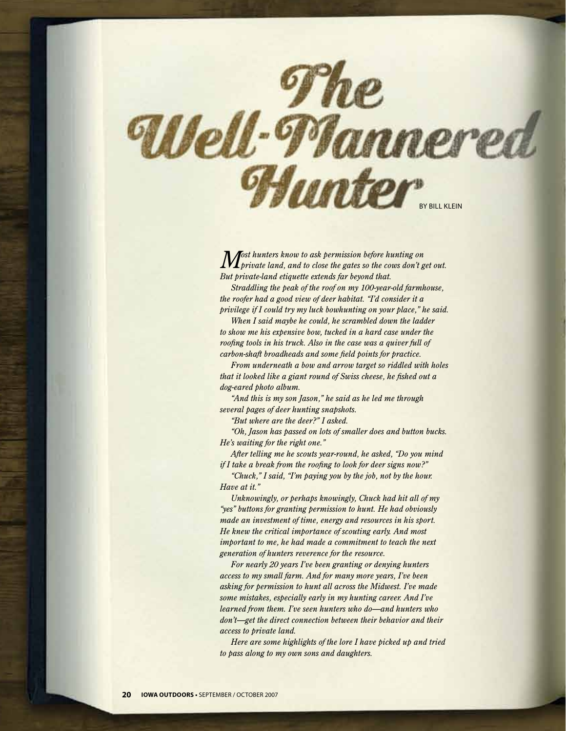

*Most hunters know to ask permission before hunting on private land, and to close the gates so the cows don't get out. But private-land etiquette extends far beyond that.*

*Straddling the peak of the roof on my 100-year-old farmhouse, the roofer had a good view of deer habitat. "I'd consider it a privilege if I could try my luck bowhunting on your place," he said.*

*When I said maybe he could, he scrambled down the ladder to show me his expensive bow, tucked in a hard case under the roofing tools in his truck. Also in the case was a quiver full of carbon-shaft broadheads and some field points for practice.*

*From underneath a bow and arrow target so riddled with holes that it looked like a giant round of Swiss cheese, he fished out a dog-eared photo album.*

*"And this is my son Jason," he said as he led me through several pages of deer hunting snapshots.*

*"But where are the deer?" I asked.*

*"Oh, Jason has passed on lots of smaller does and button bucks. He's waiting for the right one."*

*After telling me he scouts year-round, he asked, "Do you mind if I take a break from the roofing to look for deer signs now?"*

*"Chuck," I said, "I'm paying you by the job, not by the hour. Have at it."*

*Unknowingly, or perhaps knowingly, Chuck had hit all of my "yes" buttons for granting permission to hunt. He had obviously made an investment of time, energy and resources in his sport. He knew the critical importance of scouting early. And most important to me, he had made a commitment to teach the next generation of hunters reverence for the resource.*

*For nearly 20 years I've been granting or denying hunters access to my small farm. And for many more years, I've been asking for permission to hunt all across the Midwest. I've made some mistakes, especially early in my hunting career. And I've learned from them. I've seen hunters who do—and hunters who don't—get the direct connection between their behavior and their access to private land.*

*Here are some highlights of the lore I have picked up and tried to pass along to my own sons and daughters.*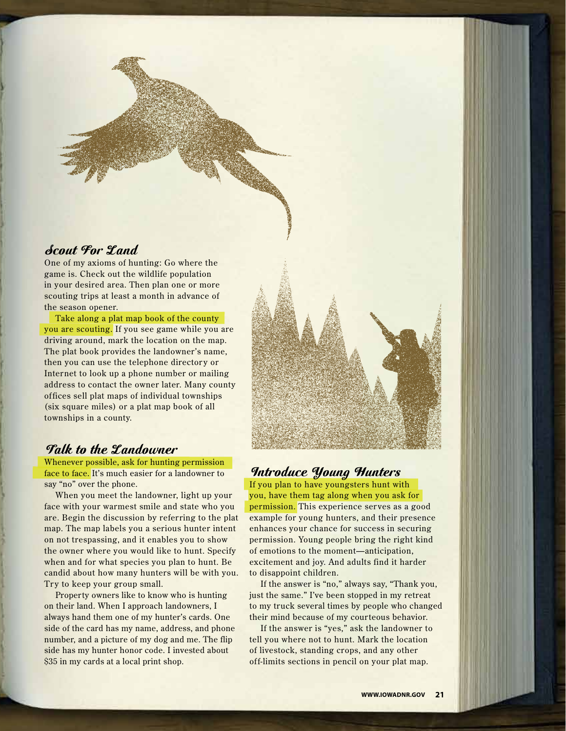# Scout For Land

One of my axioms of hunting: Go where the game is. Check out the wildlife population in your desired area. Then plan one or more scouting trips at least a month in advance of the season opener.

Take along a plat map book of the county you are scouting. If you see game while you are driving around, mark the location on the map. The plat book provides the landowner's name, then you can use the telephone directory or Internet to look up a phone number or mailing address to contact the owner later. Many county offices sell plat maps of individual townships (six square miles) or a plat map book of all townships in a county.

# Talk to the Landowner

Whenever possible, ask for hunting permission face to face. It's much easier for a landowner to say "no" over the phone.

When you meet the landowner, light up your face with your warmest smile and state who you are. Begin the discussion by referring to the plat map. The map labels you a serious hunter intent on not trespassing, and it enables you to show the owner where you would like to hunt. Specify when and for what species you plan to hunt. Be candid about how many hunters will be with you. Try to keep your group small.

Property owners like to know who is hunting on their land. When I approach landowners, I always hand them one of my hunter's cards. One side of the card has my name, address, and phone number, and a picture of my dog and me. The flip side has my hunter honor code. I invested about \$35 in my cards at a local print shop.



# Introduce Young Hunters

If you plan to have youngsters hunt with you, have them tag along when you ask for permission. This experience ser ves as a good example for young hunters, and their presence enhances your chance for success in securing permission. Young people bring the right kind of emotions to the moment—anticipation, excitement and joy. And adults find it harder to disappoint children.

If the answer is "no," always say, "Thank you, just the same." I've been stopped in my retreat to my truck several times by people who changed their mind because of my courteous behavior.

If the answer is "yes," ask the landowner to tell you where not to hunt. Mark the location of livestock, standing crops, and any other off-limits sections in pencil on your plat map.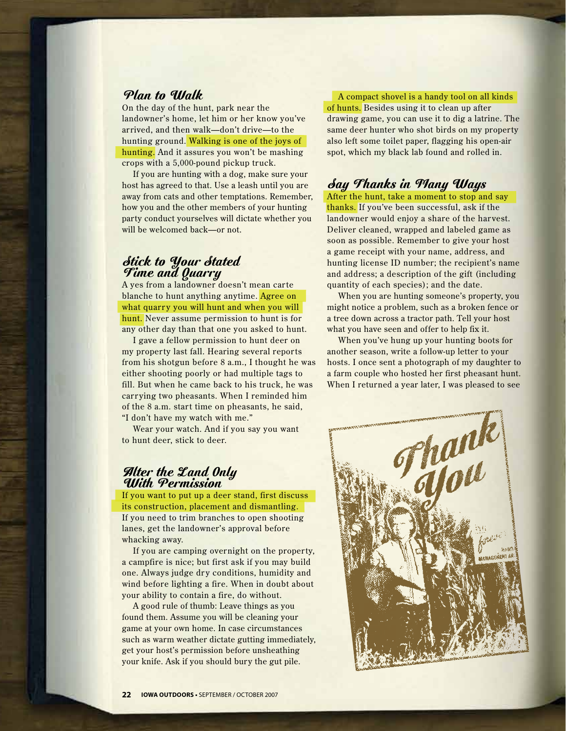#### Plan to Walk

On the day of the hunt, park near the landowner's home, let him or her know you've arrived, and then walk—don't drive—to the hunting ground. Walking is one of the joys of hunting. And it assures you won't be mashing crops with a 5,000-pound pickup truck.

If you are hunting with a dog, make sure your host has agreed to that. Use a leash until you are away from cats and other temptations. Remember, how you and the other members of your hunting party conduct yourselves will dictate whether you will be welcomed back—or not.

#### Stick to Your Stated Time and Quarry

A yes from a landowner doesn't mean carte blanche to hunt anything anytime. Agree on what quarry you will hunt and when you will hunt. Never assume permission to hunt is for any other day than that one you asked to hunt.

I gave a fellow permission to hunt deer on my property last fall. Hearing several reports from his shotgun before 8 a.m., I thought he was either shooting poorly or had multiple tags to fill. But when he came back to his truck, he was carr ying two pheasants. When I reminded him of the 8 a.m. start time on pheasants, he said, "I don't have my watch with me."

Wear your watch. And if you say you want to hunt deer, stick to deer.

#### Alter the Land Only With Permission

If you want to put up a deer stand, first discuss its construction, placement and dismantling. If you need to trim branches to open shooting lanes, get the landowner's approval before whacking away.

If you are camping overnight on the property, a campfire is nice; but first ask if you may build one. Always judge dry conditions, humidity and wind before lighting a fire. When in doubt about your ability to contain a fire, do without.

A good rule of thumb: Leave things as you found them. Assume you will be cleaning your game at your own home. In case circumstances such as warm weather dictate gutting immediately, get your host's permission before unsheathing your knife. Ask if you should bury the gut pile.

A compact shovel is a handy tool on all kinds of hunts. Besides using it to clean up after drawing game, you can use it to dig a latrine. The same deer hunter who shot birds on my property also left some toilet paper, flagging his open-air spot, which my black lab found and rolled in.

# Say Thanks in Many Ways

After the hunt, take a moment to stop and say thanks. If you've been successful, ask if the landowner would enjoy a share of the harvest. Deliver cleaned, wrapped and labeled game as soon as possible. Remember to give your host a game receipt with your name, address, and hunting license ID number; the recipient's name and address; a description of the gift (including quantity of each species); and the date.

When you are hunting someone's property, you might notice a problem, such as a broken fence or a tree down across a tractor path. Tell your host what you have seen and offer to help fix it.

When you've hung up your hunting boots for another season, write a follow-up letter to your hosts. I once sent a photograph of my daughter to a farm couple who hosted her first pheasant hunt. When I returned a year later, I was pleased to see